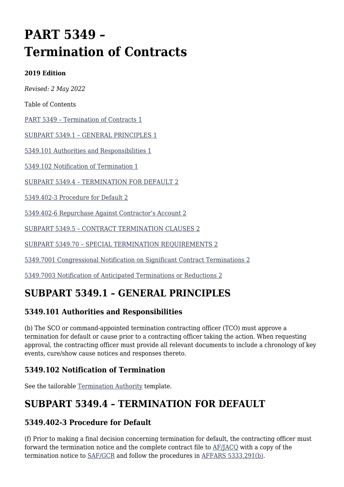# **PART 5349 – Termination of Contracts**

#### **2019 Edition**

*Revised: 2 May 2022*

Table of Contents

[PART 5349 – Termination of Contracts 1](#page--1-0)

[SUBPART 5349.1 – GENERAL PRINCIPLES 1](#page--1-0)

[5349.101 Authorities and Responsibilities 1](#page--1-0)

[5349.102 Notification of Termination 1](#page--1-0)

[SUBPART 5349.4 – TERMINATION FOR DEFAULT 2](#page--1-0)

[5349.402-3 Procedure for Default 2](#page--1-0)

[5349.402-6 Repurchase Against Contractor's Account 2](#page--1-0)

[SUBPART 5349.5 – CONTRACT TERMINATION CLAUSES 2](#page--1-0)

[SUBPART 5349.70 – SPECIAL TERMINATION REQUIREMENTS 2](#page--1-0)

[5349.7001 Congressional Notification on Significant Contract Terminations 2](#page--1-0)

[5349.7003 Notification of Anticipated Terminations or Reductions 2](#page--1-0)

### **SUBPART 5349.1 – GENERAL PRINCIPLES**

### **5349.101 Authorities and Responsibilities**

(b) The SCO or command-appointed termination contracting officer (TCO) must approve a termination for default or cause prior to a contracting officer taking the action. When requesting approval, the contracting officer must provide all relevant documents to include a chronology of key events, cure/show cause notices and responses thereto.

### **5349.102 Notification of Termination**

See the tailorable [Termination Authority](https://usaf.dps.mil/sites/AFCC/KnowledgeCenter/contracting_templates/termination_authority.pdf) template.

# **SUBPART 5349.4 – TERMINATION FOR DEFAULT**

### **5349.402-3 Procedure for Default**

(f) Prior to making a final decision concerning termination for default, the contracting officer must forward the termination notice and the complete contract file to [AF/JACQ](mailto:AF.JACQ.ContractLaw.FieldSupportCntr.Mbx@us.af.mil) with a copy of the termination notice to [SAF/GCR](mailto:SAF.GCR.Workflow@us.af.mil) and follow the procedures in [AFFARS 5333.291\(b\).](https://origin-www.acquisition.gov/%5Brp:link:affars-part-5333%5D#p5333291)